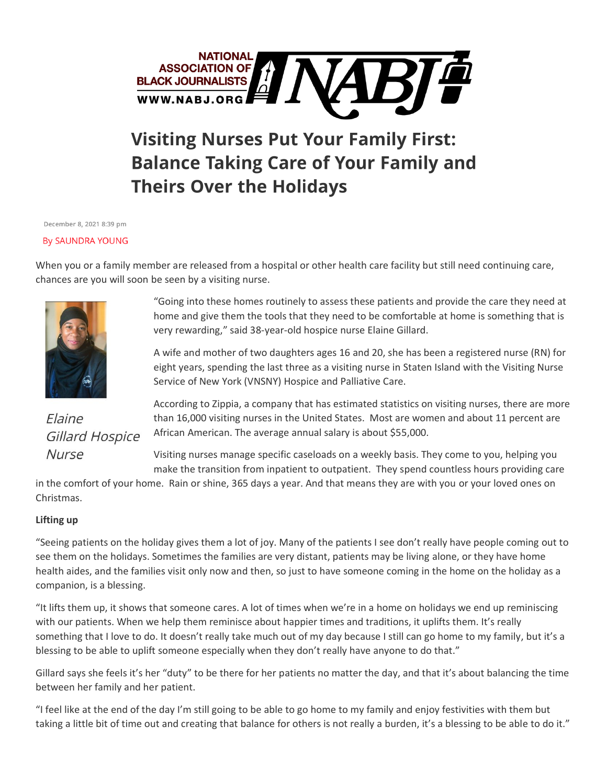

## **Visiting Nurses Put Your Family First: Balance Taking Care of Your Family and Theirs Over the Holidays**

December 8, 2021 8:39 pm

## **By SAUNDRA YOUNG**

When you or a family member are released from a hospital or other health care facility but still need continuing care, chances are you will soon be seen by a visiting nurse.



Elaine **Gillard Hospice Nurse** 

"Going into these homes routinely to assess these patients and provide the care they need at home and give them the tools that they need to be comfortable at home is something that is very rewarding," said 38-year-old hospice nurse Elaine Gillard.

A wife and mother of two daughters ages 16 and 20, she has been a registered nurse (RN) for eight years, spending the last three as a visiting nurse in Staten Island with the Visiting Nurse Service of New York (VNSNY) Hospice and Palliative Care.

According to Zippia, a company that has estimated statistics on visiting nurses, there are more than 16,000 visiting nurses in the United States. Most are women and about 11 percent are African American. The average annual salary is about \$55,000.

Visiting nurses manage specific caseloads on a weekly basis. They come to you, helping you make the transition from inpatient to outpatient. They spend countless hours providing care

in the comfort of your home. Rain or shine, 365 days a year. And that means they are with you or your loved ones on Christmas.

## **Lifting up**

"Seeing patients on the holiday gives them a lot of joy. Many of the patients I see don't really have people coming out to see them on the holidays. Sometimes the families are very distant, patients may be living alone, or they have home health aides, and the families visit only now and then, so just to have someone coming in the home on the holiday as a companion, is a blessing.

"It lifts them up, it shows that someone cares. A lot of times when we're in a home on holidays we end up reminiscing with our patients. When we help them reminisce about happier times and traditions, it uplifts them. It's really something that I love to do. It doesn't really take much out of my day because I still can go home to my family, but it's a blessing to be able to uplift someone especially when they don't really have anyone to do that."

Gillard says she feels it's her "duty" to be there for her patients no matter the day, and that it's about balancing the time between her family and her patient.

"I feel like at the end of the day I'm still going to be able to go home to my family and enjoy festivities with them but taking a little bit of time out and creating that balance for others is not really a burden, it's a blessing to be able to do it."